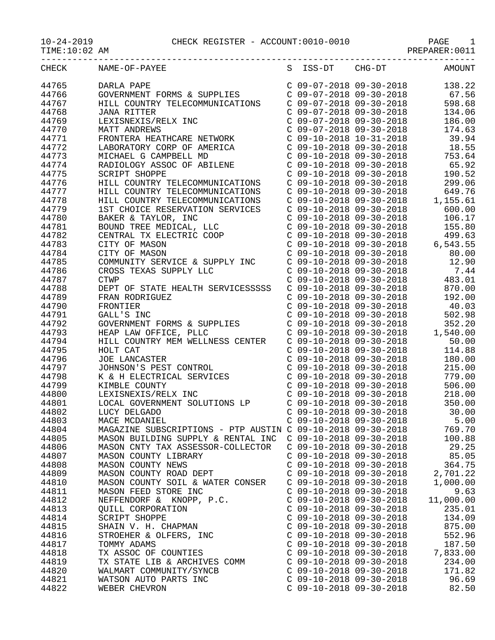| TTMD . TO . OR THAT |                                                             |                                                        | LIVRLUIT.OOTT  |
|---------------------|-------------------------------------------------------------|--------------------------------------------------------|----------------|
| CHECK               | NAME-OF-PAYEE                                               | S ISS-DT CHG-DT                                        | <b>AMOUNT</b>  |
| 44765               | DARLA PAPE                                                  | $C$ 09-07-2018 09-30-2018                              | 138.22         |
| 44766               | GOVERNMENT FORMS & SUPPLIES                                 | $C$ 09-07-2018 09-30-2018                              | 67.56          |
| 44767               | HILL COUNTRY TELECOMMUNICATIONS                             | $C$ 09-07-2018 09-30-2018                              | 598.68         |
| 44768               | <b>JANA RITTER</b>                                          | $C$ 09-07-2018 09-30-2018                              | 134.06         |
| 44769               | LEXISNEXIS/RELX INC                                         | $C$ 09-07-2018 09-30-2018                              | 186.00         |
| 44770               | MATT ANDREWS                                                | $C$ 09-07-2018 09-30-2018                              | 174.63         |
| 44771               | FRONTERA HEATHCARE NETWORK                                  | $C$ 09-10-2018 10-31-2018                              | 39.94          |
| 44772               | LABORATORY CORP OF AMERICA                                  | $C$ 09-10-2018 09-30-2018                              | 18.55          |
| 44773               | MICHAEL G CAMPBELL MD                                       | C 09-10-2018 09-30-2018                                | 753.64         |
| 44774               | RADIOLOGY ASSOC OF ABILENE                                  | $C$ 09-10-2018 09-30-2018                              | 65.92          |
| 44775               | SCRIPT SHOPPE                                               | $C$ 09-10-2018 09-30-2018                              | 190.52         |
| 44776               | HILL COUNTRY TELECOMMUNICATIONS                             | $C$ 09-10-2018 09-30-2018                              | 299.06         |
| 44777               | HILL COUNTRY TELECOMMUNICATIONS                             | $C$ 09-10-2018 09-30-2018                              | 649.76         |
| 44778               | HILL COUNTRY TELECOMMUNICATIONS                             | $C$ 09-10-2018 09-30-2018                              | 1,155.61       |
| 44779               | 1ST CHOICE RESERVATION SERVICES                             | $C$ 09-10-2018 09-30-2018                              | 600.00         |
| 44780               |                                                             | $C$ 09-10-2018 09-30-2018                              | 106.17         |
|                     | BAKER & TAYLOR, INC                                         | $C$ 09-10-2018 09-30-2018                              |                |
| 44781               | BOUND TREE MEDICAL, LLC                                     |                                                        | 155.80         |
| 44782               | CENTRAL TX ELECTRIC COOP                                    | $C$ 09-10-2018 09-30-2018                              | 499.63         |
| 44783               | CITY OF MASON                                               | $C$ 09-10-2018 09-30-2018                              | 6,543.55       |
| 44784               | CITY OF MASON                                               | $C$ 09-10-2018 09-30-2018                              | 80.00          |
| 44785               | COMMUNITY SERVICE & SUPPLY INC                              | $C$ 09-10-2018 09-30-2018                              | 12.90          |
| 44786               | CROSS TEXAS SUPPLY LLC                                      | $C$ 09-10-2018 09-30-2018                              | 7.44           |
| 44787               | <b>CTWP</b>                                                 | $C$ 09-10-2018 09-30-2018                              | 483.01         |
| 44788               | DEPT OF STATE HEALTH SERVICESSSSS                           | $C$ 09-10-2018 09-30-2018                              | 870.00         |
| 44789               | FRAN RODRIGUEZ                                              | $C$ 09-10-2018 09-30-2018                              | 192.00         |
| 44790               | FRONTIER                                                    | $C$ 09-10-2018 09-30-2018                              | 40.03          |
| 44791               | GALL'S INC                                                  | $C$ 09-10-2018 09-30-2018                              | 502.98         |
| 44792               | GOVERNMENT FORMS & SUPPLIES                                 | $C$ 09-10-2018 09-30-2018                              | 352.20         |
| 44793               | HEAP LAW OFFICE, PLLC                                       | $C$ 09-10-2018 09-30-2018                              | 1,540.00       |
| 44794               | HILL COUNTRY MEM WELLNESS CENTER                            | $C$ 09-10-2018 09-30-2018                              | 50.00          |
| 44795               | HOLT CAT                                                    | $C$ 09-10-2018 09-30-2018                              | 114.88         |
| 44796               | JOE LANCASTER                                               | $C$ 09-10-2018 09-30-2018                              | 180.00         |
| 44797               | JOHNSON'S PEST CONTROL                                      | $C$ 09-10-2018 09-30-2018                              | 215.00         |
| 44798               | K & H ELECTRICAL SERVICES                                   | $C$ 09-10-2018 09-30-2018                              | 779.00         |
| 44799               | KIMBLE COUNTY                                               | $C$ 09-10-2018 09-30-2018                              | 506.00         |
| 44800               | LEXISNEXIS/RELX INC                                         | $C$ 09-10-2018 09-30-2018                              | 218.00         |
| 44801               | LOCAL GOVERNMENT SOLUTIONS LP                               | $C$ 09-10-2018 09-30-2018                              | 350.00         |
| 44802               | LUCY DELGADO                                                | $C$ 09-10-2018 09-30-2018                              | 30.00          |
| 44803               | MACE MCDANIEL                                               | $C$ 09-10-2018 09-30-2018                              | 5.00           |
| 44804               | MAGAZINE SUBSCRIPTIONS - PTP AUSTIN C 09-10-2018 09-30-2018 |                                                        | 769.70         |
| 44805               | MASON BUILDING SUPPLY & RENTAL INC C 09-10-2018 09-30-2018  |                                                        | 100.88         |
| 44806               | MASON CNTY TAX ASSESSOR-COLLECTOR                           | C 09-10-2018 09-30-2018                                | 29.25          |
| 44807               | MASON COUNTY LIBRARY                                        | $C$ 09-10-2018 09-30-2018                              | 85.05          |
| 44808               | MASON COUNTY NEWS                                           | $C$ 09-10-2018 09-30-2018                              | 364.75         |
| 44809               | MASON COUNTY ROAD DEPT                                      | $C$ 09-10-2018 09-30-2018                              | 2,701.22       |
| 44810               | MASON COUNTY SOIL & WATER CONSER                            | $C$ 09-10-2018 09-30-2018                              | 1,000.00       |
| 44811               | MASON FEED STORE INC                                        | $C$ 09-10-2018 09-30-2018                              | 9.63           |
| 44812               | NEFFENDORF & KNOPP, P.C.                                    | $C$ 09-10-2018 09-30-2018                              | 11,000.00      |
| 44813               | QUILL CORPORATION                                           | $C$ 09-10-2018 09-30-2018                              | 235.01         |
| 44814               | SCRIPT SHOPPE                                               | $C$ 09-10-2018 09-30-2018                              | 134.09         |
| 44815               | SHAIN V. H. CHAPMAN                                         | $C$ 09-10-2018 09-30-2018                              | 875.00         |
| 44816               | STROEHER & OLFERS, INC                                      | C 09-10-2018 09-30-2018                                | 552.96         |
| 44817               | TOMMY ADAMS                                                 | $C$ 09-10-2018 09-30-2018                              | 187.50         |
| 44818               | TX ASSOC OF COUNTIES                                        | $C$ 09-10-2018 09-30-2018                              | 7,833.00       |
| 44819               | TX STATE LIB & ARCHIVES COMM C 09-10-2018 09-30-2018        |                                                        | 234.00         |
| 44820               | WALMART COMMUNITY/SYNCB                                     | $C$ 09-10-2018 09-30-2018                              | 171.82         |
| 44821               |                                                             |                                                        |                |
| 44822               | WATSON AUTO PARTS INC<br>WEBER CHEVRON                      | $C$ 09-10-2018 09-30-2018<br>$C$ 09-10-2018 09-30-2018 | 96.69<br>82.50 |
|                     |                                                             |                                                        |                |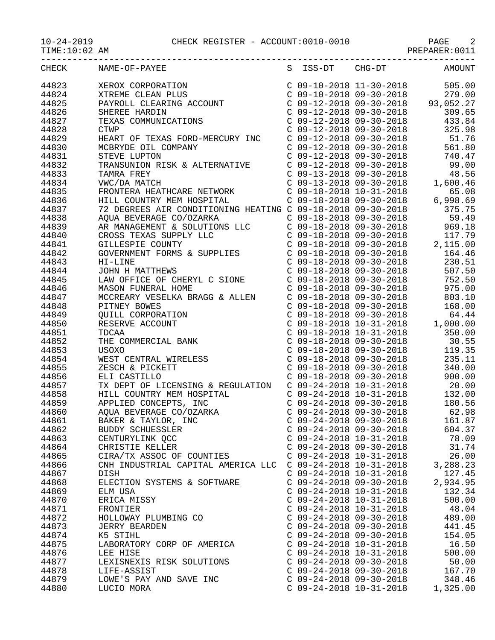$TIME:10:02 AM$ 

|                | CHECK NAME-OF-PAYEE<br>$\begin{tabular}{l c c c c} \multicolumn{4}{l}{\textbf{NAME-OP-PAYEE}} & \multicolumn{4}{l}{S} & \multicolumn{4}{l}{TS5-DT} & \multicolumn{4}{l}{C} & \multicolumn{4}{l}{MMSD} \\ \multicolumn{4}{l}{XERENC CERAR D1US} & \multicolumn{4}{l}{C} & 09-10-2018 & 99-30-2018 & 959.00 \\ \multicolumn{4}{l}{P3NNCOLL CLEAR DING} & \multicolumn{4}{l}{C} & 09-12-2018 & 99-30-2018 & 93,$ |                                                        | S ISS-DT CHG-DT AMOUNT |
|----------------|---------------------------------------------------------------------------------------------------------------------------------------------------------------------------------------------------------------------------------------------------------------------------------------------------------------------------------------------------------------------------------------------------------------|--------------------------------------------------------|------------------------|
| 44823          |                                                                                                                                                                                                                                                                                                                                                                                                               |                                                        |                        |
| 44824          |                                                                                                                                                                                                                                                                                                                                                                                                               |                                                        |                        |
| 44825          |                                                                                                                                                                                                                                                                                                                                                                                                               |                                                        |                        |
| 44826          |                                                                                                                                                                                                                                                                                                                                                                                                               |                                                        |                        |
| 44827          |                                                                                                                                                                                                                                                                                                                                                                                                               |                                                        |                        |
| 44828          |                                                                                                                                                                                                                                                                                                                                                                                                               |                                                        |                        |
| 44829          |                                                                                                                                                                                                                                                                                                                                                                                                               |                                                        |                        |
| 44830          |                                                                                                                                                                                                                                                                                                                                                                                                               |                                                        |                        |
| 44831          |                                                                                                                                                                                                                                                                                                                                                                                                               |                                                        |                        |
| 44832          |                                                                                                                                                                                                                                                                                                                                                                                                               |                                                        |                        |
| 44833          |                                                                                                                                                                                                                                                                                                                                                                                                               |                                                        |                        |
| 44834          |                                                                                                                                                                                                                                                                                                                                                                                                               |                                                        |                        |
| 44835          |                                                                                                                                                                                                                                                                                                                                                                                                               |                                                        |                        |
| 44836          |                                                                                                                                                                                                                                                                                                                                                                                                               |                                                        |                        |
| 44837          |                                                                                                                                                                                                                                                                                                                                                                                                               |                                                        |                        |
| 44838          |                                                                                                                                                                                                                                                                                                                                                                                                               |                                                        |                        |
| 44839          |                                                                                                                                                                                                                                                                                                                                                                                                               |                                                        |                        |
| 44840          |                                                                                                                                                                                                                                                                                                                                                                                                               |                                                        |                        |
| 44841          |                                                                                                                                                                                                                                                                                                                                                                                                               |                                                        |                        |
| 44842          |                                                                                                                                                                                                                                                                                                                                                                                                               |                                                        |                        |
| 44843          |                                                                                                                                                                                                                                                                                                                                                                                                               |                                                        |                        |
| 44844          |                                                                                                                                                                                                                                                                                                                                                                                                               |                                                        |                        |
| 44845          |                                                                                                                                                                                                                                                                                                                                                                                                               |                                                        |                        |
| 44846          |                                                                                                                                                                                                                                                                                                                                                                                                               |                                                        |                        |
| 44847          |                                                                                                                                                                                                                                                                                                                                                                                                               |                                                        |                        |
| 44848          |                                                                                                                                                                                                                                                                                                                                                                                                               |                                                        |                        |
| 44849          |                                                                                                                                                                                                                                                                                                                                                                                                               |                                                        |                        |
| 44850          |                                                                                                                                                                                                                                                                                                                                                                                                               |                                                        |                        |
| 44851          |                                                                                                                                                                                                                                                                                                                                                                                                               |                                                        |                        |
| 44852          |                                                                                                                                                                                                                                                                                                                                                                                                               |                                                        |                        |
| 44853          |                                                                                                                                                                                                                                                                                                                                                                                                               |                                                        |                        |
| 44854          |                                                                                                                                                                                                                                                                                                                                                                                                               |                                                        |                        |
| 44855          |                                                                                                                                                                                                                                                                                                                                                                                                               |                                                        |                        |
| 44856          |                                                                                                                                                                                                                                                                                                                                                                                                               |                                                        |                        |
| 44857          | TX DEPT OF LICENSING & REGULATION C 09-24-2018 10-31-2018 20.00                                                                                                                                                                                                                                                                                                                                               |                                                        |                        |
| 44858          | HILL COUNTRY MEM HOSP:<br>APPLIED CONCEPTS, INC<br>AQUA BEVERAGE CO/OZARI                                                                                                                                                                                                                                                                                                                                     |                                                        |                        |
| 44859          |                                                                                                                                                                                                                                                                                                                                                                                                               |                                                        |                        |
| 44860          |                                                                                                                                                                                                                                                                                                                                                                                                               |                                                        |                        |
| 44861          | BAKER & TAYLOR, INC                                                                                                                                                                                                                                                                                                                                                                                           | $C$ 09-24-2018 09-30-2018                              | 161.87                 |
| 44862          | BUDDY SCHUESSLER                                                                                                                                                                                                                                                                                                                                                                                              | $C$ 09-24-2018 09-30-2018                              | 604.37                 |
| 44863<br>44864 | CENTURYLINK QCC                                                                                                                                                                                                                                                                                                                                                                                               | $C$ 09-24-2018 10-31-2018<br>$C$ 09-24-2018 09-30-2018 | 78.09<br>31.74         |
| 44865          | CHRISTIE KELLER<br>CIRA/TX ASSOC OF COUNTIES                                                                                                                                                                                                                                                                                                                                                                  | $C$ 09-24-2018 10-31-2018                              | 26.00                  |
| 44866          | CNH INDUSTRIAL CAPITAL AMERICA LLC                                                                                                                                                                                                                                                                                                                                                                            | $C$ 09-24-2018 10-31-2018                              | 3,288.23               |
| 44867          | DISH                                                                                                                                                                                                                                                                                                                                                                                                          | $C$ 09-24-2018 10-31-2018                              | 127.45                 |
| 44868          | ELECTION SYSTEMS & SOFTWARE                                                                                                                                                                                                                                                                                                                                                                                   | $C$ 09-24-2018 09-30-2018                              | 2,934.95               |
| 44869          | ELM USA                                                                                                                                                                                                                                                                                                                                                                                                       | $C$ 09-24-2018 10-31-2018                              | 132.34                 |
| 44870          | ERICA MISSY                                                                                                                                                                                                                                                                                                                                                                                                   | $C$ 09-24-2018 10-31-2018                              | 500.00                 |
| 44871          | FRONTIER                                                                                                                                                                                                                                                                                                                                                                                                      | $C$ 09-24-2018 10-31-2018                              | 48.04                  |
| 44872          | HOLLOWAY PLUMBING CO                                                                                                                                                                                                                                                                                                                                                                                          | $C$ 09-24-2018 09-30-2018                              | 489.00                 |
| 44873          | <b>JERRY BEARDEN</b>                                                                                                                                                                                                                                                                                                                                                                                          | $C$ 09-24-2018 09-30-2018                              | 441.45                 |
| 44874          | K5 STIHL                                                                                                                                                                                                                                                                                                                                                                                                      | $C$ 09-24-2018 09-30-2018                              | 154.05                 |
| 44875          | LABORATORY CORP OF AMERICA                                                                                                                                                                                                                                                                                                                                                                                    | $C$ 09-24-2018 10-31-2018                              | 16.50                  |
| 44876          | LEE HISE                                                                                                                                                                                                                                                                                                                                                                                                      | $C$ 09-24-2018 10-31-2018                              | 500.00                 |
| 44877          | LEXISNEXIS RISK SOLUTIONS                                                                                                                                                                                                                                                                                                                                                                                     | $C$ 09-24-2018 09-30-2018                              | 50.00                  |
| 44878          | LIFE-ASSIST                                                                                                                                                                                                                                                                                                                                                                                                   | $C$ 09-24-2018 09-30-2018                              | 167.70                 |
| 44879          | LOWE'S PAY AND SAVE INC                                                                                                                                                                                                                                                                                                                                                                                       | $C$ 09-24-2018 09-30-2018                              | 348.46                 |
| 44880          | LUCIO MORA                                                                                                                                                                                                                                                                                                                                                                                                    | $C$ 09-24-2018 10-31-2018                              | 1,325.00               |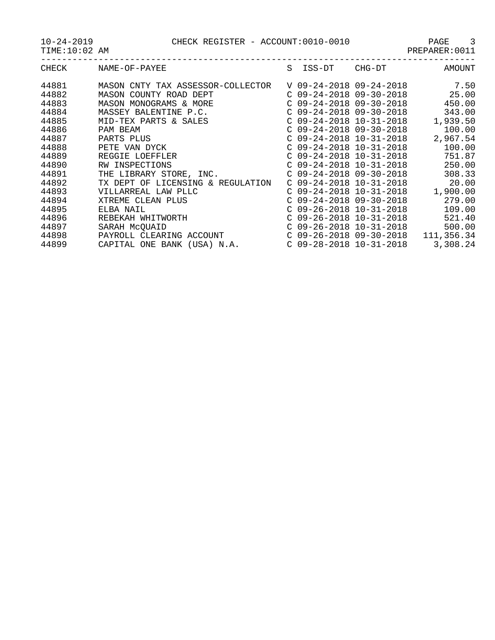10-24-2019 CHECK REGISTER - ACCOUNT:0010-0010 PAGE 3

| $4 - 201$<br>$-24$ |  |
|--------------------|--|
|--------------------|--|

| -- - - -<br>----   |  | 110000111001100110 |  | ------- |       |
|--------------------|--|--------------------|--|---------|-------|
| TIME:<br>ΆM<br>∸ ~ |  |                    |  | п.      |       |
| ___                |  |                    |  |         | $  -$ |

| <b>CHECK</b> | NAME-OF-PAYEE                        | S | ISS-DT                    | CHG-DT                    | <b>AMOUNT</b> |
|--------------|--------------------------------------|---|---------------------------|---------------------------|---------------|
| 44881        | MASON CNTY TAX ASSESSOR-COLLECTOR    |   | V 09-24-2018 09-24-2018   |                           | 7.50          |
| 44882        | MASON COUNTY ROAD DEPT               |   | $C$ 09-24-2018 09-30-2018 |                           | 25.00         |
| 44883        | MASON MONOGRAMS & MORE               |   | $C$ 09-24-2018 09-30-2018 |                           | 450.00        |
| 44884        | MASSEY BALENTINE P.C.                |   | $C$ 09-24-2018 09-30-2018 |                           | 343.00        |
| 44885        | MID-TEX PARTS & SALES                |   | $C$ 09-24-2018 10-31-2018 |                           | 1,939.50      |
| 44886        | PAM BEAM                             |   | $C$ 09-24-2018 09-30-2018 |                           | 100.00        |
| 44887        | PARTS PLUS                           |   | $C$ 09-24-2018 10-31-2018 |                           | 2,967.54      |
| 44888        | PETE VAN DYCK                        |   | $C$ 09-24-2018 10-31-2018 |                           | 100.00        |
| 44889        | REGGIE LOEFFLER                      |   | $C$ 09-24-2018 10-31-2018 |                           | 751.87        |
| 44890        | RW INSPECTIONS                       |   | $C$ 09-24-2018 10-31-2018 |                           | 250.00        |
| 44891        | THE LIBRARY STORE, INC.              |   | $C$ 09-24-2018 09-30-2018 |                           | 308.33        |
| 44892        | TX DEPT OF LICENSING<br>& REGULATION |   | $C$ 09-24-2018 10-31-2018 |                           | 20.00         |
| 44893        | VILLARREAL LAW PLLC                  |   | $C$ 09-24-2018 10-31-2018 |                           | 1,900.00      |
| 44894        | XTREME CLEAN PLUS                    |   | $C$ 09-24-2018 09-30-2018 |                           | 279.00        |
| 44895        | ELBA NAIL                            |   | $C$ 09-26-2018 10-31-2018 |                           | 109.00        |
| 44896        | REBEKAH WHITWORTH                    |   | $C$ 09-26-2018 10-31-2018 |                           | 521.40        |
| 44897        | SARAH McQUAID                        |   | $C$ 09-26-2018 10-31-2018 |                           | 500.00        |
| 44898        | PAYROLL CLEARING ACCOUNT             |   |                           | $C$ 09-26-2018 09-30-2018 | 111,356.34    |
| 44899        | CAPITAL ONE BANK (USA) N.A.          |   | $C$ 09-28-2018 10-31-2018 |                           | 3,308.24      |